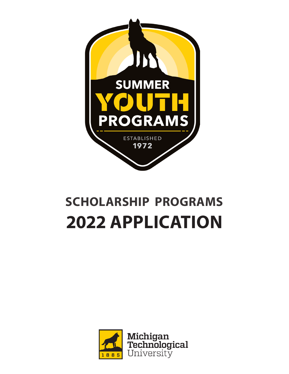

# **SCHOLARSHIP PROGRAMS 2022 APPLICATION**

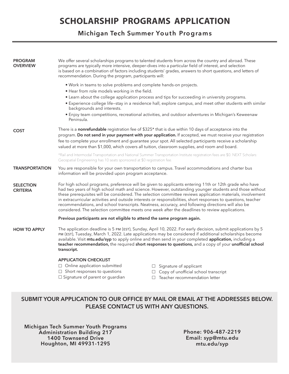## **SCHOLARSHIP PROGRAMS APPLICATION**

### **Michigan Tech Summer Youth Programs**

| <b>PROGRAM</b><br><b>OVERVIEW</b>   | recommendation. During the program, participants will:                                                                                                                                                                                                                                                                                                                                                                                                                                                                                                                                                                                                  | We offer several scholarships programs to talented students from across the country and abroad. These<br>programs are typically more intensive, deeper-dives into a particular field of interest, and selection<br>is based on a combination of factors including students' grades, answers to short questions, and letters of |  |  |  |
|-------------------------------------|---------------------------------------------------------------------------------------------------------------------------------------------------------------------------------------------------------------------------------------------------------------------------------------------------------------------------------------------------------------------------------------------------------------------------------------------------------------------------------------------------------------------------------------------------------------------------------------------------------------------------------------------------------|--------------------------------------------------------------------------------------------------------------------------------------------------------------------------------------------------------------------------------------------------------------------------------------------------------------------------------|--|--|--|
|                                     | . Work in teams to solve problems and complete hands-on projects.<br>. Hear from role models working in the field.                                                                                                                                                                                                                                                                                                                                                                                                                                                                                                                                      |                                                                                                                                                                                                                                                                                                                                |  |  |  |
|                                     | • Learn about the college application process and tips for succeeding in university programs.<br>• Experience college life-stay in a residence hall, explore campus, and meet other students with similar<br>backgrounds and interests.                                                                                                                                                                                                                                                                                                                                                                                                                 |                                                                                                                                                                                                                                                                                                                                |  |  |  |
|                                     | • Enjoy team competitions, recreational activities, and outdoor adventures in Michigan's Keweenaw<br>Peninsula.                                                                                                                                                                                                                                                                                                                                                                                                                                                                                                                                         |                                                                                                                                                                                                                                                                                                                                |  |  |  |
| <b>COST</b>                         | There is a nonrefundable registration fee of \$325* that is due within 10 days of acceptance into the<br>program. Do not send in your payment with your application. If accepted, we must receive your registration<br>fee to complete your enrollment and guarantee your spot. All selected participants receive a scholarship<br>valued at more than \$1,000, which covers all tuition, classroom supplies, and room and board.                                                                                                                                                                                                                       |                                                                                                                                                                                                                                                                                                                                |  |  |  |
|                                     | *Rail and Intermodal Transportation and National Summer Transportation Institute registration fees are \$0. NEXT Scholars:<br>Geospatial Engineering has 10 seats sponsored at \$0 registration fee.                                                                                                                                                                                                                                                                                                                                                                                                                                                    |                                                                                                                                                                                                                                                                                                                                |  |  |  |
| <b>TRANSPORTATION</b>               | You are responsible for your own transportation to campus. Travel accommodations and charter bus<br>information will be provided upon program acceptance.                                                                                                                                                                                                                                                                                                                                                                                                                                                                                               |                                                                                                                                                                                                                                                                                                                                |  |  |  |
| <b>SELECTION</b><br><b>CRITERIA</b> | For high school programs, preference will be given to applicants entering 11th or 12th grade who have<br>had two years of high school math and science. However, outstanding younger students and those without<br>these prerequisites will be considered. The selection committee reviews application materials, involvement<br>in extracurricular activities and outside interests or responsibilities, short responses to questions, teacher<br>recommendations, and school transcripts. Neatness, accuracy, and following directions will also be<br>considered. The selection committee meets one week after the deadlines to review applications. |                                                                                                                                                                                                                                                                                                                                |  |  |  |
|                                     | Previous participants are not eligible to attend the same program again.                                                                                                                                                                                                                                                                                                                                                                                                                                                                                                                                                                                |                                                                                                                                                                                                                                                                                                                                |  |  |  |
| <b>HOW TO APPLY</b>                 | The application deadline is 5 PM (EST), Sunday, April 10, 2022. For early decision, submit applications by 5<br>PM (EST), Tuesday, March 1, 2022. Late applications may be considered if additional scholarships become<br>available. Visit mtu.edu/syp to apply online and then send in your completed application, including a<br>teacher recommendation, the required short responses to questions, and a copy of your unofficial school<br>transcript.                                                                                                                                                                                              |                                                                                                                                                                                                                                                                                                                                |  |  |  |
|                                     | <b>APPLICATION CHECKLIST</b>                                                                                                                                                                                                                                                                                                                                                                                                                                                                                                                                                                                                                            |                                                                                                                                                                                                                                                                                                                                |  |  |  |
|                                     | $\Box$ Online application submitted                                                                                                                                                                                                                                                                                                                                                                                                                                                                                                                                                                                                                     | $\Box$ Signature of applicant                                                                                                                                                                                                                                                                                                  |  |  |  |
|                                     | $\Box$ Short responses to questions<br>□ Signature of parent or guardian                                                                                                                                                                                                                                                                                                                                                                                                                                                                                                                                                                                | $\Box$ Copy of unofficial school transcript<br>$\Box$ Teacher recommendation letter                                                                                                                                                                                                                                            |  |  |  |
|                                     |                                                                                                                                                                                                                                                                                                                                                                                                                                                                                                                                                                                                                                                         |                                                                                                                                                                                                                                                                                                                                |  |  |  |

## **SUBMIT YOUR APPLICATION TO OUR OFFICE BY MAIL OR EMAIL AT THE ADDRESSES BELOW. PLEASE CONTACT US WITH ANY QUESTIONS.**

**Michigan Tech Summer Youth Programs Administration Building 217 1400 Townsend Drive Houghton, MI 49931-1295**

**Phone: 906-487-2219 Email: syp@mtu.edu mtu.edu/syp**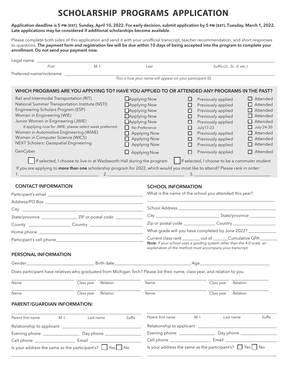# **SCHOLARSHIP PROGRAMS APPLICATION**

Application deadline is 5 PM (EST), Sunday, April 10, 2022. For early decision, submit application by 5 PM (EST), Tuesday, March 1, 2022. **Late applications may be considered if additional scholarships become available.** 

Please complete both sides of this application and send it with your unofficial transcript, teacher recommendation, and short responses to questions. **The payment form and registration fee will be due within 10 days of being accepted into the program to complete your enrollment. Do not send your payment now.**

| Legal name _____                                                                                                                                                                                                                                                                                                                                                                        |                                                                                                                                                                                                        |                                                                                                                                                                                                  |                                                                                                                                                                                                         |                                                               |                                                                                                                                                                              |                                                                                                                                                                           |  |
|-----------------------------------------------------------------------------------------------------------------------------------------------------------------------------------------------------------------------------------------------------------------------------------------------------------------------------------------------------------------------------------------|--------------------------------------------------------------------------------------------------------------------------------------------------------------------------------------------------------|--------------------------------------------------------------------------------------------------------------------------------------------------------------------------------------------------|---------------------------------------------------------------------------------------------------------------------------------------------------------------------------------------------------------|---------------------------------------------------------------|------------------------------------------------------------------------------------------------------------------------------------------------------------------------------|---------------------------------------------------------------------------------------------------------------------------------------------------------------------------|--|
| First                                                                                                                                                                                                                                                                                                                                                                                   | M. I.                                                                                                                                                                                                  |                                                                                                                                                                                                  | Last                                                                                                                                                                                                    |                                                               | Suffix (Jr., Sr., II, etc.)                                                                                                                                                  |                                                                                                                                                                           |  |
| Preferred name/nickname                                                                                                                                                                                                                                                                                                                                                                 |                                                                                                                                                                                                        |                                                                                                                                                                                                  | This is how your name will appear on your participant ID.                                                                                                                                               |                                                               |                                                                                                                                                                              |                                                                                                                                                                           |  |
|                                                                                                                                                                                                                                                                                                                                                                                         |                                                                                                                                                                                                        |                                                                                                                                                                                                  |                                                                                                                                                                                                         |                                                               |                                                                                                                                                                              |                                                                                                                                                                           |  |
|                                                                                                                                                                                                                                                                                                                                                                                         | WHICH PROGRAMS ARE YOU APPLYING TO? HAVE YOU APPLIED TO OR ATTENDED ANY PROGRAMS IN THE PAST?                                                                                                          |                                                                                                                                                                                                  |                                                                                                                                                                                                         |                                                               |                                                                                                                                                                              |                                                                                                                                                                           |  |
| Rail and Intermodal Transportation (RIT)<br>National Summer Transportation Institute (NSTI)<br>Engineering Scholars Program (ESP)<br>Women in Engineering (WIE)<br>Junior Women in Engineering (JWIE)<br>If applying now for JWIE, please select week preferred:<br>Women in Automotive Engineering (WIAE)<br>Women in Computer Science (WICS)<br>NEXT Scholars: Geospatial Engineering |                                                                                                                                                                                                        | <b>L</b> Applying Now<br><b>Applying Now</b><br>Applying Now<br>Applying Now<br><b>Applying Now</b><br>$\Box$ No Preference<br>$\Box$ Applying Now<br>$\Box$ Applying Now<br>$\Box$ Applying Now |                                                                                                                                                                                                         | ப<br>□<br>□<br>□<br>ப<br><b>July17-23</b><br>□<br>□<br>□<br>□ | Previously applied<br>Previously applied<br>Previously applied<br>Previously applied<br>Previously applied<br>Previously applied<br>Previously applied<br>Previously applied | $\Box$ Attended<br>$\Box$ Attended<br>$\Box$ Attended<br>$\Box$ Attended<br>$\Box$ Attended<br>$\Box$ July 24-30<br>$\Box$ Attended<br>$\Box$ Attended<br>$\Box$ Attended |  |
| GenCyber                                                                                                                                                                                                                                                                                                                                                                                |                                                                                                                                                                                                        |                                                                                                                                                                                                  | $\Box$ Applying Now<br>□                                                                                                                                                                                |                                                               | Previously applied                                                                                                                                                           | $\Box$ Attended                                                                                                                                                           |  |
|                                                                                                                                                                                                                                                                                                                                                                                         | If selected, I choose to live-in at Wadsworth Hall during the program<br>If you are applying to more than one scholarship program for 2022, which would you most like to attend? Please rank in order: |                                                                                                                                                                                                  |                                                                                                                                                                                                         | 3.                                                            |                                                                                                                                                                              | If selected, I choose to be a commuter student                                                                                                                            |  |
| <b>CONTACT INFORMATION</b>                                                                                                                                                                                                                                                                                                                                                              |                                                                                                                                                                                                        |                                                                                                                                                                                                  | <b>SCHOOL INFORMATION</b>                                                                                                                                                                               |                                                               |                                                                                                                                                                              |                                                                                                                                                                           |  |
|                                                                                                                                                                                                                                                                                                                                                                                         |                                                                                                                                                                                                        |                                                                                                                                                                                                  | What is the name of the school you attended this year?                                                                                                                                                  |                                                               |                                                                                                                                                                              |                                                                                                                                                                           |  |
|                                                                                                                                                                                                                                                                                                                                                                                         |                                                                                                                                                                                                        |                                                                                                                                                                                                  |                                                                                                                                                                                                         |                                                               |                                                                                                                                                                              |                                                                                                                                                                           |  |
|                                                                                                                                                                                                                                                                                                                                                                                         |                                                                                                                                                                                                        |                                                                                                                                                                                                  |                                                                                                                                                                                                         |                                                               |                                                                                                                                                                              |                                                                                                                                                                           |  |
|                                                                                                                                                                                                                                                                                                                                                                                         |                                                                                                                                                                                                        |                                                                                                                                                                                                  |                                                                                                                                                                                                         |                                                               |                                                                                                                                                                              |                                                                                                                                                                           |  |
|                                                                                                                                                                                                                                                                                                                                                                                         |                                                                                                                                                                                                        |                                                                                                                                                                                                  |                                                                                                                                                                                                         |                                                               |                                                                                                                                                                              | Zip or postal code ______________________Country _______________________________                                                                                          |  |
|                                                                                                                                                                                                                                                                                                                                                                                         |                                                                                                                                                                                                        |                                                                                                                                                                                                  | What grade will you have completed by June 2022? ___________                                                                                                                                            |                                                               |                                                                                                                                                                              |                                                                                                                                                                           |  |
|                                                                                                                                                                                                                                                                                                                                                                                         |                                                                                                                                                                                                        |                                                                                                                                                                                                  | Current class rank _________ out of _______ Cumulative GPA ____<br>Note: If your school uses a grading system other than the 4.0 scale, an<br>explanation of the method must accompany your transcript. |                                                               |                                                                                                                                                                              |                                                                                                                                                                           |  |
| PERSONAL INFORMATION                                                                                                                                                                                                                                                                                                                                                                    |                                                                                                                                                                                                        |                                                                                                                                                                                                  |                                                                                                                                                                                                         |                                                               |                                                                                                                                                                              |                                                                                                                                                                           |  |
| Gender                                                                                                                                                                                                                                                                                                                                                                                  | <b>Example 2018</b> Birth date                                                                                                                                                                         |                                                                                                                                                                                                  |                                                                                                                                                                                                         | Age                                                           |                                                                                                                                                                              |                                                                                                                                                                           |  |
|                                                                                                                                                                                                                                                                                                                                                                                         | Does participant have relatives who graduated from Michigan Tech? Please list their name, class year, and relation to you.                                                                             |                                                                                                                                                                                                  |                                                                                                                                                                                                         |                                                               |                                                                                                                                                                              |                                                                                                                                                                           |  |
| Name                                                                                                                                                                                                                                                                                                                                                                                    | Class year<br>Relation                                                                                                                                                                                 |                                                                                                                                                                                                  | Name                                                                                                                                                                                                    |                                                               | Class year                                                                                                                                                                   | Relation                                                                                                                                                                  |  |
| Name                                                                                                                                                                                                                                                                                                                                                                                    | Class year<br>Relation                                                                                                                                                                                 |                                                                                                                                                                                                  | Name                                                                                                                                                                                                    |                                                               | Class year                                                                                                                                                                   | Relation                                                                                                                                                                  |  |
| PARENT/GUARDIAN INFORMATION:                                                                                                                                                                                                                                                                                                                                                            |                                                                                                                                                                                                        |                                                                                                                                                                                                  |                                                                                                                                                                                                         |                                                               |                                                                                                                                                                              |                                                                                                                                                                           |  |
| Parent first name<br>M. I.                                                                                                                                                                                                                                                                                                                                                              | Last name                                                                                                                                                                                              | Suffix                                                                                                                                                                                           | Parent first name                                                                                                                                                                                       | M. I.                                                         | Last name                                                                                                                                                                    | Suffix                                                                                                                                                                    |  |
|                                                                                                                                                                                                                                                                                                                                                                                         |                                                                                                                                                                                                        |                                                                                                                                                                                                  | Relationship to applicant __________                                                                                                                                                                    |                                                               |                                                                                                                                                                              |                                                                                                                                                                           |  |
|                                                                                                                                                                                                                                                                                                                                                                                         |                                                                                                                                                                                                        |                                                                                                                                                                                                  |                                                                                                                                                                                                         |                                                               |                                                                                                                                                                              |                                                                                                                                                                           |  |
|                                                                                                                                                                                                                                                                                                                                                                                         |                                                                                                                                                                                                        |                                                                                                                                                                                                  | Cell phone ___________________________ Email __________                                                                                                                                                 |                                                               |                                                                                                                                                                              |                                                                                                                                                                           |  |
|                                                                                                                                                                                                                                                                                                                                                                                         | Is your address the same as the participant's? $\Box$ Yes $\Box$ No                                                                                                                                    |                                                                                                                                                                                                  | Is your address the same as the participant's? $\Box$ Yes $\Box$ No                                                                                                                                     |                                                               |                                                                                                                                                                              |                                                                                                                                                                           |  |